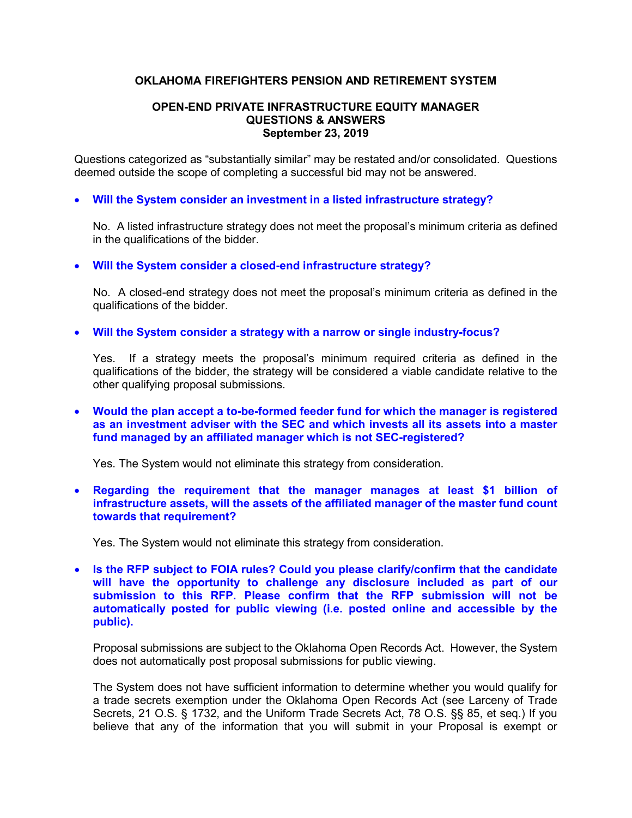# **OKLAHOMA FIREFIGHTERS PENSION AND RETIREMENT SYSTEM**

#### **OPEN-END PRIVATE INFRASTRUCTURE EQUITY MANAGER QUESTIONS & ANSWERS September 23, 2019**

Questions categorized as "substantially similar" may be restated and/or consolidated. Questions deemed outside the scope of completing a successful bid may not be answered.

## • **Will the System consider an investment in a listed infrastructure strategy?**

No. A listed infrastructure strategy does not meet the proposal's minimum criteria as defined in the qualifications of the bidder.

## • **Will the System consider a closed-end infrastructure strategy?**

No. A closed-end strategy does not meet the proposal's minimum criteria as defined in the qualifications of the bidder.

#### • **Will the System consider a strategy with a narrow or single industry-focus?**

Yes. If a strategy meets the proposal's minimum required criteria as defined in the qualifications of the bidder, the strategy will be considered a viable candidate relative to the other qualifying proposal submissions.

• **Would the plan accept a to-be-formed feeder fund for which the manager is registered as an investment adviser with the SEC and which invests all its assets into a master fund managed by an affiliated manager which is not SEC-registered?**

Yes. The System would not eliminate this strategy from consideration.

• **Regarding the requirement that the manager manages at least \$1 billion of infrastructure assets, will the assets of the affiliated manager of the master fund count towards that requirement?** 

Yes. The System would not eliminate this strategy from consideration.

• **Is the RFP subject to FOIA rules? Could you please clarify/confirm that the candidate will have the opportunity to challenge any disclosure included as part of our submission to this RFP. Please confirm that the RFP submission will not be automatically posted for public viewing (i.e. posted online and accessible by the public).**

Proposal submissions are subject to the Oklahoma Open Records Act. However, the System does not automatically post proposal submissions for public viewing.

The System does not have sufficient information to determine whether you would qualify for a trade secrets exemption under the Oklahoma Open Records Act (see Larceny of Trade Secrets, 21 O.S. § 1732, and the Uniform Trade Secrets Act, 78 O.S. §§ 85, et seq.) If you believe that any of the information that you will submit in your Proposal is exempt or